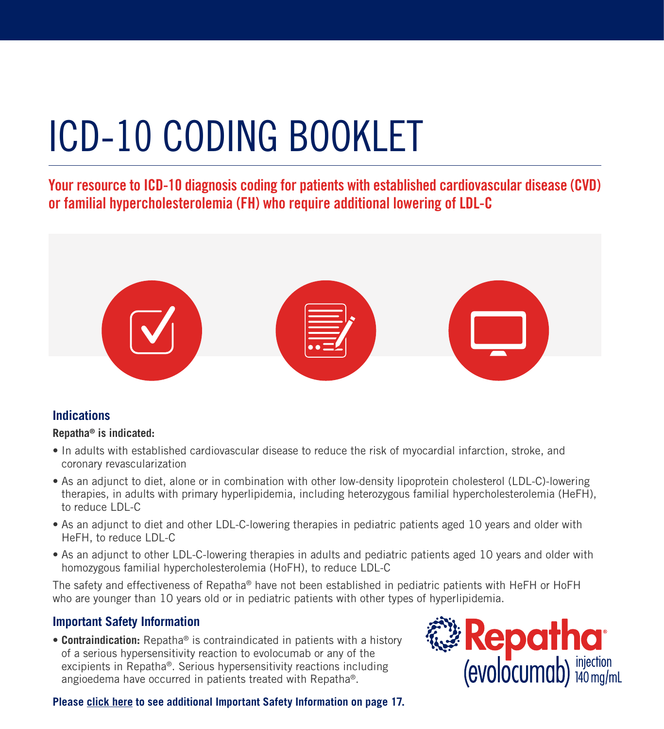# ICD-10 CODING BOOKLET

Your resource to ICD-10 diagnosis coding for patients with established cardiovascular disease (CVD) or familial hypercholesterolemia (FH) who require additional lowering of LDL-C



#### **Indications**

#### **Repatha® is indicated:**

- In adults with established cardiovascular disease to reduce the risk of myocardial infarction, stroke, and coronary revascularization
- As an adjunct to diet, alone or in combination with other low-density lipoprotein cholesterol (LDL-C)-lowering therapies, in adults with primary hyperlipidemia, including heterozygous familial hypercholesterolemia (HeFH), to reduce LDL-C
- As an adjunct to diet and other LDL-C-lowering therapies in pediatric patients aged 10 years and older with HeFH, to reduce LDL-C
- As an adjunct to other LDL-C-lowering therapies in adults and pediatric patients aged 10 years and older with homozygous familial hypercholesterolemia (HoFH), to reduce LDL-C

The safety and effectiveness of Repatha® have not been established in pediatric patients with HeFH or HoFH who are younger than 10 years old or in pediatric patients with other types of hyperlipidemia.

#### **Important Safety Information**

• **Contraindication:** Repatha® is contraindicated in patients with a history of a serious hypersensitivity reaction to evolocumab or any of the excipients in Repatha®. Serious hypersensitivity reactions including angioedema have occurred in patients treated with Repatha®.

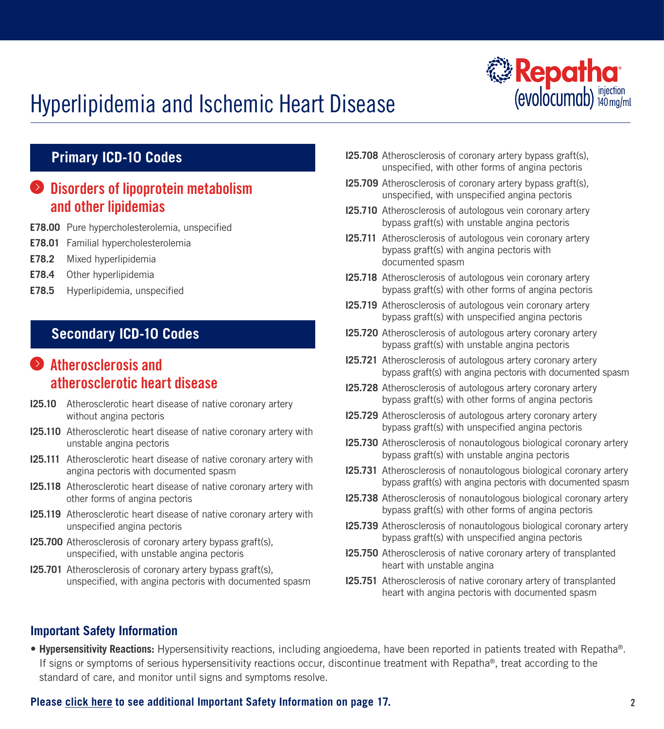# Hyperlipidemia and Ischemic Heart Disease



### **Primary ICD-10 Codes**

### **D** Disorders of lipoprotein metabolism and other lipidemias

- **E78.00** Pure hypercholesterolemia, unspecified
- **E78.01** Familial hypercholesterolemia
- **E78.2** Mixed hyperlipidemia
- **E78.4** Other hyperlipidemia
- **E78.5** Hyperlipidemia, unspecified

### **Secondary ICD-10 Codes**

### **Atherosclerosis and** atherosclerotic heart disease

- **I25.10** Atherosclerotic heart disease of native coronary artery without angina pectoris
- **I25.110** Atherosclerotic heart disease of native coronary artery with unstable angina pectoris
- **I25.111** Atherosclerotic heart disease of native coronary artery with angina pectoris with documented spasm
- **I25.118** Atherosclerotic heart disease of native coronary artery with other forms of angina pectoris
- **I25.119** Atherosclerotic heart disease of native coronary artery with unspecified angina pectoris
- **I25.700** Atherosclerosis of coronary artery bypass graft(s), unspecified, with unstable angina pectoris
- **I25.701** Atherosclerosis of coronary artery bypass graft(s), unspecified, with angina pectoris with documented spasm
- **I25.708** Atherosclerosis of coronary artery bypass graft(s), unspecified, with other forms of angina pectoris
- **I25.709** Atherosclerosis of coronary artery bypass graft(s), unspecified, with unspecified angina pectoris
- **I25.710** Atherosclerosis of autologous vein coronary artery bypass graft(s) with unstable angina pectoris
- **I25.711** Atherosclerosis of autologous vein coronary artery bypass graft(s) with angina pectoris with documented spasm
- **I25.718** Atherosclerosis of autologous vein coronary artery bypass graft(s) with other forms of angina pectoris
- **I25.719** Atherosclerosis of autologous vein coronary artery bypass graft(s) with unspecified angina pectoris
- **I25.720** Atherosclerosis of autologous artery coronary artery bypass graft(s) with unstable angina pectoris
- **I25.721** Atherosclerosis of autologous artery coronary artery bypass graft(s) with angina pectoris with documented spasm
- **I25.728** Atherosclerosis of autologous artery coronary artery bypass graft(s) with other forms of angina pectoris
- **I25.729** Atherosclerosis of autologous artery coronary artery bypass graft(s) with unspecified angina pectoris
- **I25.730** Atherosclerosis of nonautologous biological coronary artery bypass graft(s) with unstable angina pectoris
- **I25.731** Atherosclerosis of nonautologous biological coronary artery bypass graft(s) with angina pectoris with documented spasm
- **I25.738** Atherosclerosis of nonautologous biological coronary artery bypass graft(s) with other forms of angina pectoris
- **I25.739** Atherosclerosis of nonautologous biological coronary artery bypass graft(s) with unspecified angina pectoris
- **I25.750** Atherosclerosis of native coronary artery of transplanted heart with unstable angina
- **I25.751** Atherosclerosis of native coronary artery of transplanted heart with angina pectoris with documented spasm

#### **Important Safety Information**

• **Hypersensitivity Reactions:** Hypersensitivity reactions, including angioedema, have been reported in patients treated with Repatha®. If signs or symptoms of serious hypersensitivity reactions occur, discontinue treatment with Repatha®, treat according to the standard of care, and monitor until signs and symptoms resolve.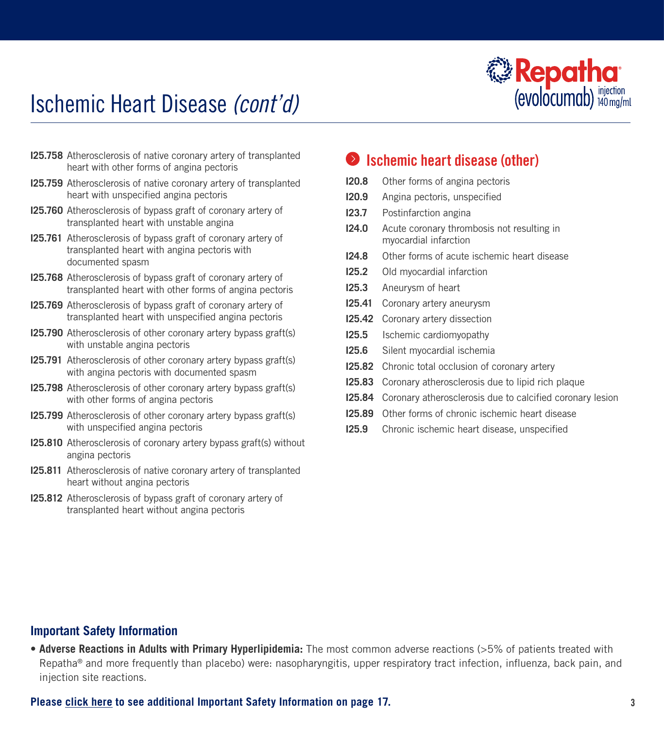

# Ischemic Heart Disease *(cont'd)*

- **I25.758** Atherosclerosis of native coronary artery of transplanted heart with other forms of angina pectoris
- **I25.759** Atherosclerosis of native coronary artery of transplanted heart with unspecified angina pectoris
- **I25.760** Atherosclerosis of bypass graft of coronary artery of transplanted heart with unstable angina
- **I25.761** Atherosclerosis of bypass graft of coronary artery of transplanted heart with angina pectoris with documented spasm
- **I25.768** Atherosclerosis of bypass graft of coronary artery of transplanted heart with other forms of angina pectoris
- **I25.769** Atherosclerosis of bypass graft of coronary artery of transplanted heart with unspecified angina pectoris
- **I25.790** Atherosclerosis of other coronary artery bypass graft(s) with unstable angina pectoris
- **I25.791** Atherosclerosis of other coronary artery bypass graft(s) with angina pectoris with documented spasm
- **I25.798** Atherosclerosis of other coronary artery bypass graft(s) with other forms of angina pectoris
- **I25.799** Atherosclerosis of other coronary artery bypass graft(s) with unspecified angina pectoris
- **I25.810** Atherosclerosis of coronary artery bypass graft(s) without angina pectoris
- **I25.811** Atherosclerosis of native coronary artery of transplanted heart without angina pectoris
- **I25.812** Atherosclerosis of bypass graft of coronary artery of transplanted heart without angina pectoris

# ● Ischemic heart disease (other)

- **I20.8** Other forms of angina pectoris
- **I20.9** Angina pectoris, unspecified
- **I23.7** Postinfarction angina
- **I24.0** Acute coronary thrombosis not resulting in myocardial infarction
- **I24.8** Other forms of acute ischemic heart disease
- **I25.2** Old myocardial infarction
- **I25.3** Aneurysm of heart
- **I25.41** Coronary artery aneurysm
- **I25.42** Coronary artery dissection
- **I25.5** Ischemic cardiomyopathy
- **I25.6** Silent myocardial ischemia
- **I25.82** Chronic total occlusion of coronary artery
- **I25.83** Coronary atherosclerosis due to lipid rich plaque
- **I25.84** Coronary atherosclerosis due to calcified coronary lesion
- **I25.89** Other forms of chronic ischemic heart disease
- **I25.9** Chronic ischemic heart disease, unspecified

#### **Important Safety Information**

• **Adverse Reactions in Adults with Primary Hyperlipidemia:** The most common adverse reactions (>5% of patients treated with Repatha® and more frequently than placebo) were: nasopharyngitis, upper respiratory tract infection, influenza, back pain, and injection site reactions.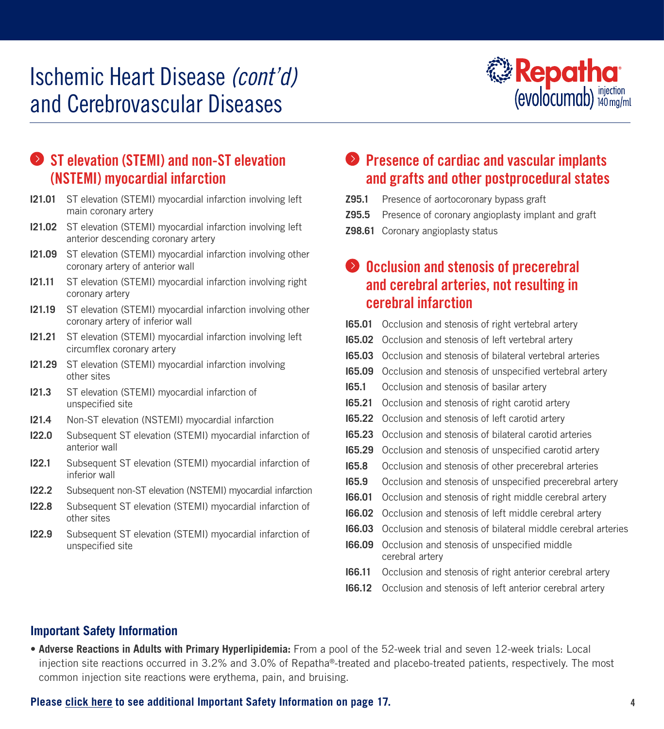# Ischemic Heart Disease *(cont'd)* and Cerebrovascular Diseases



# ST elevation (STEMI) and non-ST elevation (NSTEMI) myocardial infarction

- **I21.01** ST elevation (STEMI) myocardial infarction involving left main coronary artery
- **I21.02** ST elevation (STEMI) myocardial infarction involving left anterior descending coronary artery
- **I21.09** ST elevation (STEMI) myocardial infarction involving other coronary artery of anterior wall
- **I21.11** ST elevation (STEMI) myocardial infarction involving right coronary artery
- **I21.19** ST elevation (STEMI) myocardial infarction involving other coronary artery of inferior wall
- **I21.21** ST elevation (STEMI) myocardial infarction involving left circumflex coronary artery
- **I21.29** ST elevation (STEMI) myocardial infarction involving other sites
- **I21.3** ST elevation (STEMI) myocardial infarction of unspecified site
- **I21.4** Non-ST elevation (NSTEMI) myocardial infarction
- **I22.0** Subsequent ST elevation (STEMI) myocardial infarction of anterior wall
- **I22.1** Subsequent ST elevation (STEMI) myocardial infarction of inferior wall
- **I22.2** Subsequent non-ST elevation (NSTEMI) myocardial infarction
- **I22.8** Subsequent ST elevation (STEMI) myocardial infarction of other sites
- **I22.9** Subsequent ST elevation (STEMI) myocardial infarction of unspecified site

# **• Presence of cardiac and vascular implants** and grafts and other postprocedural states

- **Z95.1** Presence of aortocoronary bypass graft
- **Z95.5** Presence of coronary angioplasty implant and graft
- **Z98.61** Coronary angioplasty status

### O Occlusion and stenosis of precerebral and cerebral arteries, not resulting in cerebral infarction

- **I65.01** Occlusion and stenosis of right vertebral artery
- **I65.02** Occlusion and stenosis of left vertebral artery
- **I65.03** Occlusion and stenosis of bilateral vertebral arteries
- **I65.09** Occlusion and stenosis of unspecified vertebral artery
- **I65.1** Occlusion and stenosis of basilar artery
- **I65.21** Occlusion and stenosis of right carotid artery
- **I65.22** Occlusion and stenosis of left carotid artery
- **I65.23** Occlusion and stenosis of bilateral carotid arteries
- **I65.29** Occlusion and stenosis of unspecified carotid artery
- **I65.8** Occlusion and stenosis of other precerebral arteries
- **I65.9** Occlusion and stenosis of unspecified precerebral artery
- **I66.01** Occlusion and stenosis of right middle cerebral artery
- **I66.02** Occlusion and stenosis of left middle cerebral artery
- **I66.03** Occlusion and stenosis of bilateral middle cerebral arteries
- **I66.09** Occlusion and stenosis of unspecified middle cerebral artery
- **I66.11** Occlusion and stenosis of right anterior cerebral artery
- **I66.12** Occlusion and stenosis of left anterior cerebral artery

#### **Important Safety Information**

• **Adverse Reactions in Adults with Primary Hyperlipidemia:** From a pool of the 52-week trial and seven 12-week trials: Local injection site reactions occurred in 3.2% and 3.0% of Repatha®-treated and placebo-treated patients, respectively. The most common injection site reactions were erythema, pain, and bruising.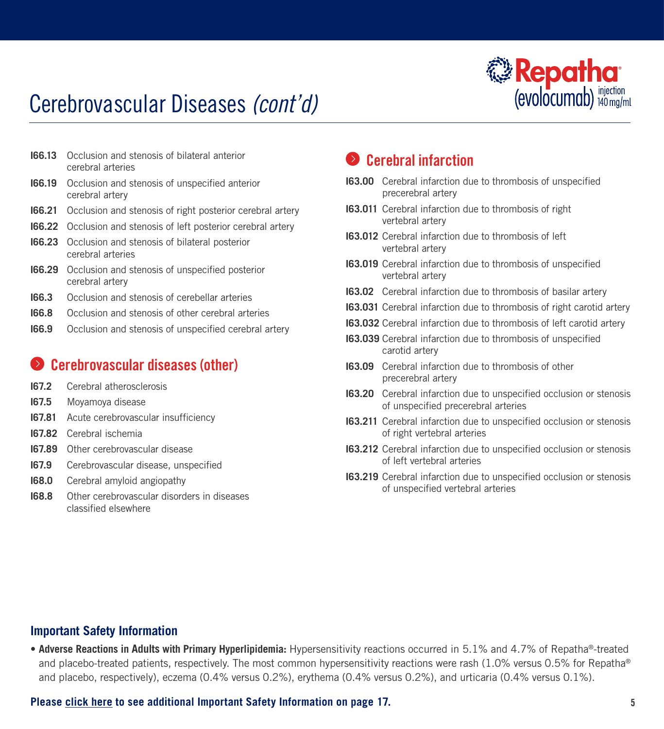

# Cerebrovascular Diseases *(cont'd)*

- **I66.13** Occlusion and stenosis of bilateral anterior cerebral arteries
- **I66.19** Occlusion and stenosis of unspecified anterior cerebral artery
- **I66.21** Occlusion and stenosis of right posterior cerebral artery
- **I66.22** Occlusion and stenosis of left posterior cerebral artery
- **I66.23** Occlusion and stenosis of bilateral posterior cerebral arteries
- **I66.29** Occlusion and stenosis of unspecified posterior cerebral artery
- **I66.3** Occlusion and stenosis of cerebellar arteries
- **I66.8** Occlusion and stenosis of other cerebral arteries
- **I66.9** Occlusion and stenosis of unspecified cerebral artery

### **Cerebrovascular diseases (other)**

- **I67.2** Cerebral atherosclerosis
- **I67.5** Moyamoya disease
- **I67.81** Acute cerebrovascular insufficiency
- **I67.82** Cerebral ischemia
- **I67.89** Other cerebrovascular disease
- **I67.9** Cerebrovascular disease, unspecified
- **I68.0** Cerebral amyloid angiopathy
- **I68.8** Other cerebrovascular disorders in diseases classified elsewhere

### **Cerebral infarction**

- **I63.00** Cerebral infarction due to thrombosis of unspecified precerebral artery
- **I63.011** Cerebral infarction due to thrombosis of right vertebral artery
- **I63.012** Cerebral infarction due to thrombosis of left vertebral artery
- **I63.019** Cerebral infarction due to thrombosis of unspecified vertebral artery
- **I63.02** Cerebral infarction due to thrombosis of basilar artery
- **I63.031** Cerebral infarction due to thrombosis of right carotid artery
- **I63.032** Cerebral infarction due to thrombosis of left carotid artery
- **I63.039** Cerebral infarction due to thrombosis of unspecified carotid artery
- **I63.09** Cerebral infarction due to thrombosis of other precerebral artery
- **I63.20** Cerebral infarction due to unspecified occlusion or stenosis of unspecified precerebral arteries
- **I63.211** Cerebral infarction due to unspecified occlusion or stenosis of right vertebral arteries
- **I63.212** Cerebral infarction due to unspecified occlusion or stenosis of left vertebral arteries
- **I63.219** Cerebral infarction due to unspecified occlusion or stenosis of unspecified vertebral arteries

#### **Important Safety Information**

• **Adverse Reactions in Adults with Primary Hyperlipidemia:** Hypersensitivity reactions occurred in 5.1% and 4.7% of Repatha®-treated and placebo-treated patients, respectively. The most common hypersensitivity reactions were rash (1.0% versus 0.5% for Repatha® and placebo, respectively), eczema (0.4% versus 0.2%), erythema (0.4% versus 0.2%), and urticaria (0.4% versus 0.1%).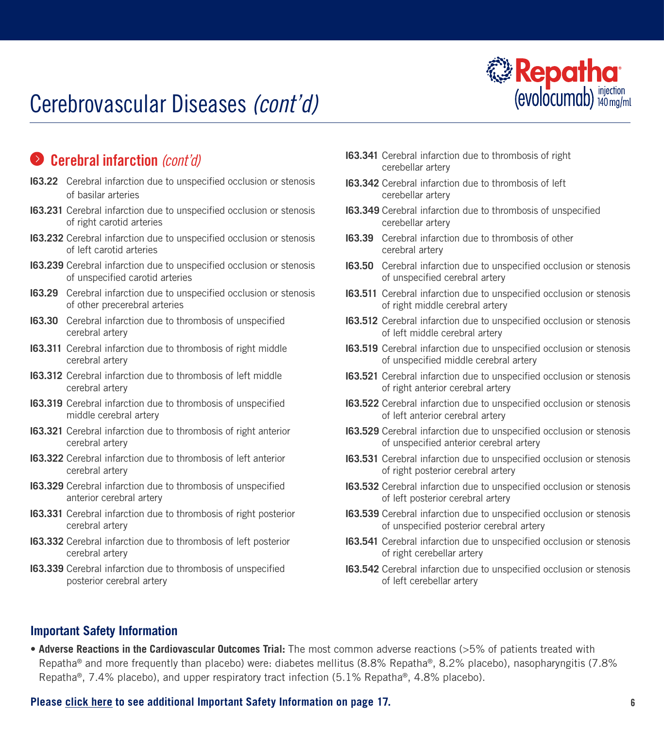# Cerebrovascular Diseases *(cont'd)*



### Cerebral infarction *(cont'd)*

- **I63.22** Cerebral infarction due to unspecified occlusion or stenosis of basilar arteries
- **I63.231** Cerebral infarction due to unspecified occlusion or stenosis of right carotid arteries
- **I63.232** Cerebral infarction due to unspecified occlusion or stenosis of left carotid arteries
- **I63.239** Cerebral infarction due to unspecified occlusion or stenosis of unspecified carotid arteries
- **I63.29** Cerebral infarction due to unspecified occlusion or stenosis of other precerebral arteries
- **I63.30** Cerebral infarction due to thrombosis of unspecified cerebral artery
- **I63.311** Cerebral infarction due to thrombosis of right middle cerebral artery
- **I63.312** Cerebral infarction due to thrombosis of left middle cerebral artery
- **I63.319** Cerebral infarction due to thrombosis of unspecified middle cerebral artery
- **I63.321** Cerebral infarction due to thrombosis of right anterior cerebral artery
- **I63.322** Cerebral infarction due to thrombosis of left anterior cerebral artery
- **I63.329** Cerebral infarction due to thrombosis of unspecified anterior cerebral artery
- **I63.331** Cerebral infarction due to thrombosis of right posterior cerebral artery
- **I63.332** Cerebral infarction due to thrombosis of left posterior cerebral artery
- **I63.339** Cerebral infarction due to thrombosis of unspecified posterior cerebral artery
- **I63.341** Cerebral infarction due to thrombosis of right cerebellar artery
- **I63.342** Cerebral infarction due to thrombosis of left cerebellar artery
- **I63.349** Cerebral infarction due to thrombosis of unspecified cerebellar artery
- **I63.39** Cerebral infarction due to thrombosis of other cerebral artery
- **I63.50** Cerebral infarction due to unspecified occlusion or stenosis of unspecified cerebral artery
- **I63.511** Cerebral infarction due to unspecified occlusion or stenosis of right middle cerebral artery
- **I63.512** Cerebral infarction due to unspecified occlusion or stenosis of left middle cerebral artery
- **I63.519** Cerebral infarction due to unspecified occlusion or stenosis of unspecified middle cerebral artery
- **I63.521** Cerebral infarction due to unspecified occlusion or stenosis of right anterior cerebral artery
- **I63.522** Cerebral infarction due to unspecified occlusion or stenosis of left anterior cerebral artery
- **I63.529** Cerebral infarction due to unspecified occlusion or stenosis of unspecified anterior cerebral artery
- **I63.531** Cerebral infarction due to unspecified occlusion or stenosis of right posterior cerebral artery
- **I63.532** Cerebral infarction due to unspecified occlusion or stenosis of left posterior cerebral artery
- **I63.539** Cerebral infarction due to unspecified occlusion or stenosis of unspecified posterior cerebral artery
- **I63.541** Cerebral infarction due to unspecified occlusion or stenosis of right cerebellar artery
- **I63.542** Cerebral infarction due to unspecified occlusion or stenosis of left cerebellar artery

#### **Important Safety Information**

• **Adverse Reactions in the Cardiovascular Outcomes Trial:** The most common adverse reactions (>5% of patients treated with Repatha® and more frequently than placebo) were: diabetes mellitus (8.8% Repatha®, 8.2% placebo), nasopharyngitis (7.8% Repatha®, 7.4% placebo), and upper respiratory tract infection (5.1% Repatha®, 4.8% placebo).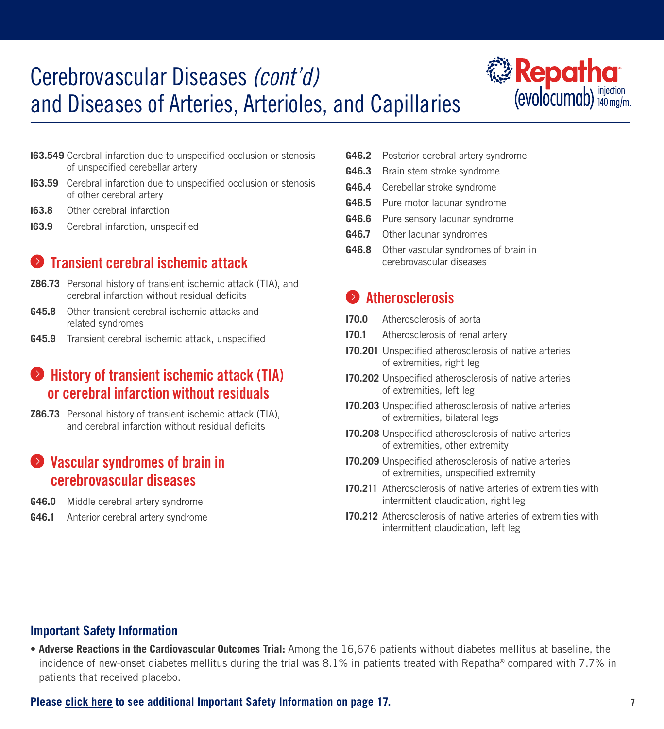# Cerebrovascular Diseases *(cont'd)*  and Diseases of Arteries, Arterioles, and Capillaries



- **I63.549** Cerebral infarction due to unspecified occlusion or stenosis of unspecified cerebellar artery
- **I63.59** Cerebral infarction due to unspecified occlusion or stenosis of other cerebral artery
- **I63.8** Other cerebral infarction
- **I63.9** Cerebral infarction, unspecified

# Transient cerebral ischemic attack

- **Z86.73** Personal history of transient ischemic attack (TIA), and cerebral infarction without residual deficits
- **G45.8** Other transient cerebral ischemic attacks and related syndromes
- **G45.9** Transient cerebral ischemic attack, unspecified

### History of transient ischemic attack (TIA) or cerebral infarction without residuals

**Z86.73** Personal history of transient ischemic attack (TIA), and cerebral infarction without residual deficits

### Vascular syndromes of brain in cerebrovascular diseases

- **G46.0** Middle cerebral artery syndrome
- **G46.1** Anterior cerebral artery syndrome
- **G46.2** Posterior cerebral artery syndrome
- **G46.3** Brain stem stroke syndrome
- **G46.4** Cerebellar stroke syndrome
- **G46.5** Pure motor lacunar syndrome
- **G46.6** Pure sensory lacunar syndrome
- **G46.7** Other lacunar syndromes
- **G46.8** Other vascular syndromes of brain in cerebrovascular diseases

# **Atherosclerosis**

- **I70.0** Atherosclerosis of aorta
- **I70.1** Atherosclerosis of renal artery
- **I70.201** Unspecified atherosclerosis of native arteries of extremities, right leg
- **I70.202** Unspecified atherosclerosis of native arteries of extremities, left leg
- **I70.203** Unspecified atherosclerosis of native arteries of extremities, bilateral legs
- **I70.208** Unspecified atherosclerosis of native arteries of extremities, other extremity
- **I70.209** Unspecified atherosclerosis of native arteries of extremities, unspecified extremity
- **I70.211** Atherosclerosis of native arteries of extremities with intermittent claudication, right leg
- **I70.212** Atherosclerosis of native arteries of extremities with intermittent claudication, left leg

#### **Important Safety Information**

• **Adverse Reactions in the Cardiovascular Outcomes Trial:** Among the 16,676 patients without diabetes mellitus at baseline, the incidence of new-onset diabetes mellitus during the trial was 8.1% in patients treated with Repatha<sup>®</sup> compared with 7.7% in patients that received placebo.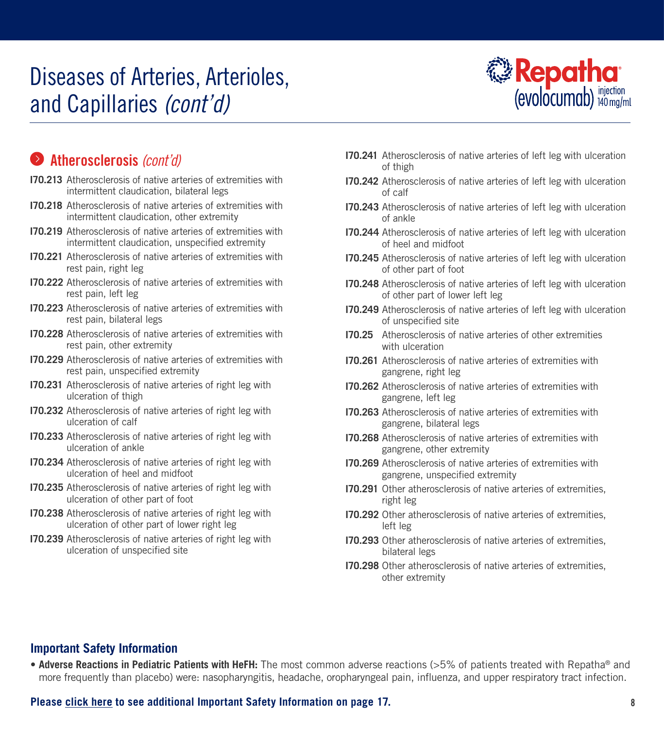

### Atherosclerosis *(cont'd)*

- **I70.213** Atherosclerosis of native arteries of extremities with intermittent claudication, bilateral legs
- **I70.218** Atherosclerosis of native arteries of extremities with intermittent claudication, other extremity
- **I70.219** Atherosclerosis of native arteries of extremities with intermittent claudication, unspecified extremity
- **I70.221** Atherosclerosis of native arteries of extremities with rest pain, right leg
- **I70.222** Atherosclerosis of native arteries of extremities with rest pain, left leg
- **I70.223** Atherosclerosis of native arteries of extremities with rest pain, bilateral legs
- **I70.228** Atherosclerosis of native arteries of extremities with rest pain, other extremity
- **I70.229** Atherosclerosis of native arteries of extremities with rest pain, unspecified extremity
- **I70.231** Atherosclerosis of native arteries of right leg with ulceration of thigh
- **I70.232** Atherosclerosis of native arteries of right leg with ulceration of calf
- **I70.233** Atherosclerosis of native arteries of right leg with ulceration of ankle
- **I70.234** Atherosclerosis of native arteries of right leg with ulceration of heel and midfoot
- **I70.235** Atherosclerosis of native arteries of right leg with ulceration of other part of foot
- **I70.238** Atherosclerosis of native arteries of right leg with ulceration of other part of lower right leg
- **I70.239** Atherosclerosis of native arteries of right leg with ulceration of unspecified site
- **I70.241** Atherosclerosis of native arteries of left leg with ulceration of thigh
- **I70.242** Atherosclerosis of native arteries of left leg with ulceration of calf
- **I70.243** Atherosclerosis of native arteries of left leg with ulceration of ankle
- **I70.244** Atherosclerosis of native arteries of left leg with ulceration of heel and midfoot
- **I70.245** Atherosclerosis of native arteries of left leg with ulceration of other part of foot
- **I70.248** Atherosclerosis of native arteries of left leg with ulceration of other part of lower left leg
- **I70.249** Atherosclerosis of native arteries of left leg with ulceration of unspecified site
- **I70.25** Atherosclerosis of native arteries of other extremities with ulceration
- **I70.261** Atherosclerosis of native arteries of extremities with gangrene, right leg
- **I70.262** Atherosclerosis of native arteries of extremities with gangrene, left leg
- **I70.263** Atherosclerosis of native arteries of extremities with gangrene, bilateral legs
- **I70.268** Atherosclerosis of native arteries of extremities with gangrene, other extremity
- **I70.269** Atherosclerosis of native arteries of extremities with gangrene, unspecified extremity
- **I70.291** Other atherosclerosis of native arteries of extremities, right leg
- **I70.292** Other atherosclerosis of native arteries of extremities, left leg
- **I70.293** Other atherosclerosis of native arteries of extremities, bilateral legs
- **I70.298** Other atherosclerosis of native arteries of extremities, other extremity

#### **Important Safety Information**

• **Adverse Reactions in Pediatric Patients with HeFH:** The most common adverse reactions (>5% of patients treated with Repatha® and more frequently than placebo) were: nasopharyngitis, headache, oropharyngeal pain, influenza, and upper respiratory tract infection.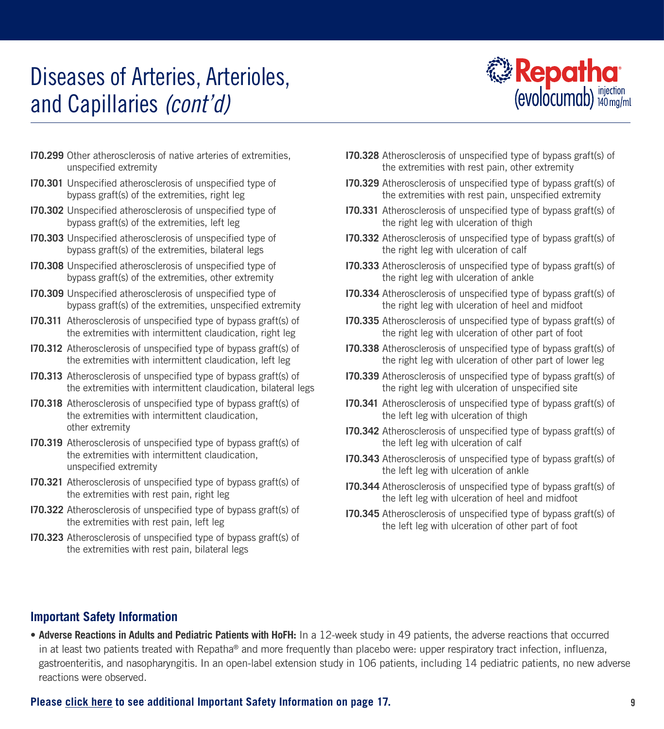

- **I70.299** Other atherosclerosis of native arteries of extremities, unspecified extremity
- **I70.301** Unspecified atherosclerosis of unspecified type of bypass graft(s) of the extremities, right leg
- **I70.302** Unspecified atherosclerosis of unspecified type of bypass graft(s) of the extremities, left leg
- **I70.303** Unspecified atherosclerosis of unspecified type of bypass graft(s) of the extremities, bilateral legs
- **I70.308** Unspecified atherosclerosis of unspecified type of bypass graft(s) of the extremities, other extremity
- **I70.309** Unspecified atherosclerosis of unspecified type of bypass graft(s) of the extremities, unspecified extremity
- **I70.311** Atherosclerosis of unspecified type of bypass graft(s) of the extremities with intermittent claudication, right leg
- **I70.312** Atherosclerosis of unspecified type of bypass graft(s) of the extremities with intermittent claudication, left leg
- **I70.313** Atherosclerosis of unspecified type of bypass graft(s) of the extremities with intermittent claudication, bilateral legs
- **I70.318** Atherosclerosis of unspecified type of bypass graft(s) of the extremities with intermittent claudication, other extremity
- **I70.319** Atherosclerosis of unspecified type of bypass graft(s) of the extremities with intermittent claudication, unspecified extremity
- **I70.321** Atherosclerosis of unspecified type of bypass graft(s) of the extremities with rest pain, right leg
- **I70.322** Atherosclerosis of unspecified type of bypass graft(s) of the extremities with rest pain, left leg
- **I70.323** Atherosclerosis of unspecified type of bypass graft(s) of the extremities with rest pain, bilateral legs
- **I70.328** Atherosclerosis of unspecified type of bypass graft(s) of the extremities with rest pain, other extremity
- **I70.329** Atherosclerosis of unspecified type of bypass graft(s) of the extremities with rest pain, unspecified extremity
- **I70.331** Atherosclerosis of unspecified type of bypass graft(s) of the right leg with ulceration of thigh
- **I70.332** Atherosclerosis of unspecified type of bypass graft(s) of the right leg with ulceration of calf
- **I70.333** Atherosclerosis of unspecified type of bypass graft(s) of the right leg with ulceration of ankle
- **I70.334** Atherosclerosis of unspecified type of bypass graft(s) of the right leg with ulceration of heel and midfoot
- **I70.335** Atherosclerosis of unspecified type of bypass graft(s) of the right leg with ulceration of other part of foot
- **I70.338** Atherosclerosis of unspecified type of bypass graft(s) of the right leg with ulceration of other part of lower leg
- **I70.339** Atherosclerosis of unspecified type of bypass graft(s) of the right leg with ulceration of unspecified site
- **I70.341** Atherosclerosis of unspecified type of bypass graft(s) of the left leg with ulceration of thigh
- **I70.342** Atherosclerosis of unspecified type of bypass graft(s) of the left leg with ulceration of calf
- **I70.343** Atherosclerosis of unspecified type of bypass graft(s) of the left leg with ulceration of ankle
- **I70.344** Atherosclerosis of unspecified type of bypass graft(s) of the left leg with ulceration of heel and midfoot
- **I70.345** Atherosclerosis of unspecified type of bypass graft(s) of the left leg with ulceration of other part of foot

#### **Important Safety Information**

• **Adverse Reactions in Adults and Pediatric Patients with HoFH:** In a 12-week study in 49 patients, the adverse reactions that occurred in at least two patients treated with Repatha<sup>®</sup> and more frequently than placebo were: upper respiratory tract infection, influenza, gastroenteritis, and nasopharyngitis. In an open-label extension study in 106 patients, including 14 pediatric patients, no new adverse reactions were observed.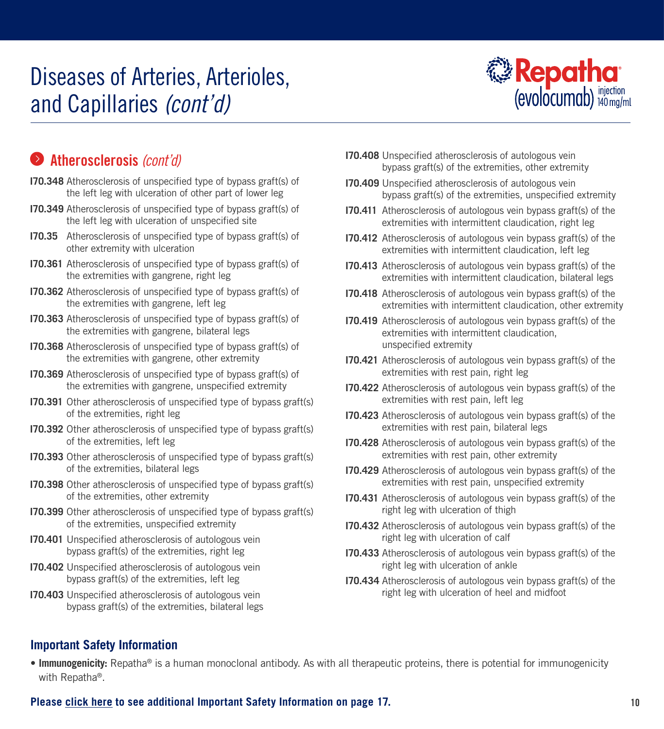

### Atherosclerosis *(cont'd)*

- **I70.348** Atherosclerosis of unspecified type of bypass graft(s) of the left leg with ulceration of other part of lower leg
- **I70.349** Atherosclerosis of unspecified type of bypass graft(s) of the left leg with ulceration of unspecified site
- **I70.35** Atherosclerosis of unspecified type of bypass graft(s) of other extremity with ulceration
- **I70.361** Atherosclerosis of unspecified type of bypass graft(s) of the extremities with gangrene, right leg
- **I70.362** Atherosclerosis of unspecified type of bypass graft(s) of the extremities with gangrene, left leg
- **I70.363** Atherosclerosis of unspecified type of bypass graft(s) of the extremities with gangrene, bilateral legs
- **I70.368** Atherosclerosis of unspecified type of bypass graft(s) of the extremities with gangrene, other extremity
- **I70.369** Atherosclerosis of unspecified type of bypass graft(s) of the extremities with gangrene, unspecified extremity
- **I70.391** Other atherosclerosis of unspecified type of bypass graft(s) of the extremities, right leg
- **I70.392** Other atherosclerosis of unspecified type of bypass graft(s) of the extremities, left leg
- **I70.393** Other atherosclerosis of unspecified type of bypass graft(s) of the extremities, bilateral legs
- **I70.398** Other atherosclerosis of unspecified type of bypass graft(s) of the extremities, other extremity
- **I70.399** Other atherosclerosis of unspecified type of bypass graft(s) of the extremities, unspecified extremity
- **I70.401** Unspecified atherosclerosis of autologous vein bypass graft(s) of the extremities, right leg
- **I70.402** Unspecified atherosclerosis of autologous vein bypass graft(s) of the extremities, left leg
- **I70.403** Unspecified atherosclerosis of autologous vein bypass graft(s) of the extremities, bilateral legs
- **I70.408** Unspecified atherosclerosis of autologous vein bypass graft(s) of the extremities, other extremity
- **I70.409** Unspecified atherosclerosis of autologous vein bypass graft(s) of the extremities, unspecified extremity
- **I70.411** Atherosclerosis of autologous vein bypass graft(s) of the extremities with intermittent claudication, right leg
- **I70.412** Atherosclerosis of autologous vein bypass graft(s) of the extremities with intermittent claudication, left leg
- **I70.413** Atherosclerosis of autologous vein bypass graft(s) of the extremities with intermittent claudication, bilateral legs
- **I70.418** Atherosclerosis of autologous vein bypass graft(s) of the extremities with intermittent claudication, other extremity
- **I70.419** Atherosclerosis of autologous vein bypass graft(s) of the extremities with intermittent claudication, unspecified extremity
- **I70.421** Atherosclerosis of autologous vein bypass graft(s) of the extremities with rest pain, right leg
- **I70.422** Atherosclerosis of autologous vein bypass graft(s) of the extremities with rest pain, left leg
- **I70.423** Atherosclerosis of autologous vein bypass graft(s) of the extremities with rest pain, bilateral legs
- **I70.428** Atherosclerosis of autologous vein bypass graft(s) of the extremities with rest pain, other extremity
- **I70.429** Atherosclerosis of autologous vein bypass graft(s) of the extremities with rest pain, unspecified extremity
- **I70.431** Atherosclerosis of autologous vein bypass graft(s) of the right leg with ulceration of thigh
- **I70.432** Atherosclerosis of autologous vein bypass graft(s) of the right leg with ulceration of calf
- **I70.433** Atherosclerosis of autologous vein bypass graft(s) of the right leg with ulceration of ankle
- **I70.434** Atherosclerosis of autologous vein bypass graft(s) of the right leg with ulceration of heel and midfoot

#### **Important Safety Information**

• **Immunogenicity:** Repatha® is a human monoclonal antibody. As with all therapeutic proteins, there is potential for immunogenicity with Repatha®.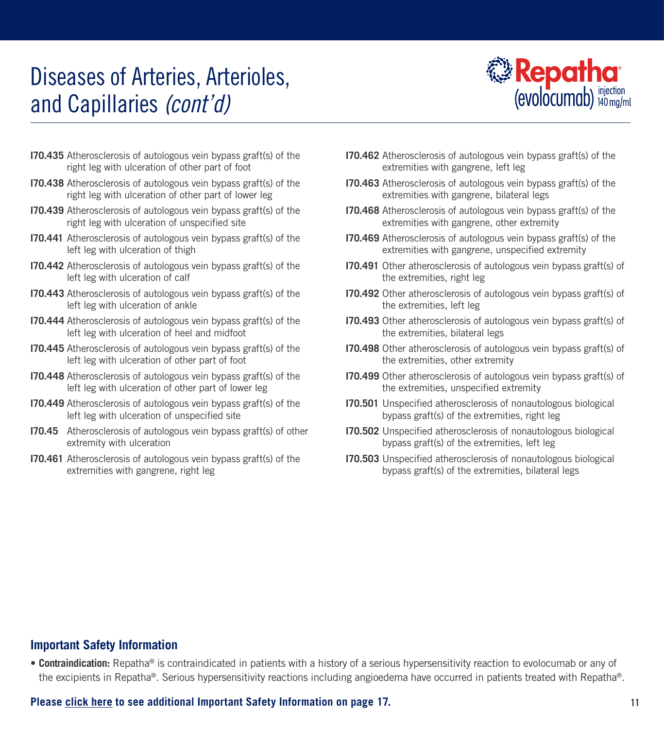

- **I70.435** Atherosclerosis of autologous vein bypass graft(s) of the right leg with ulceration of other part of foot
- **I70.438** Atherosclerosis of autologous vein bypass graft(s) of the right leg with ulceration of other part of lower leg
- **I70.439** Atherosclerosis of autologous vein bypass graft(s) of the right leg with ulceration of unspecified site
- **I70.441** Atherosclerosis of autologous vein bypass graft(s) of the left leg with ulceration of thigh
- **I70.442** Atherosclerosis of autologous vein bypass graft(s) of the left leg with ulceration of calf
- **I70.443** Atherosclerosis of autologous vein bypass graft(s) of the left leg with ulceration of ankle
- **I70.444** Atherosclerosis of autologous vein bypass graft(s) of the left leg with ulceration of heel and midfoot
- **I70.445** Atherosclerosis of autologous vein bypass graft(s) of the left leg with ulceration of other part of foot
- **I70.448** Atherosclerosis of autologous vein bypass graft(s) of the left leg with ulceration of other part of lower leg
- **I70.449** Atherosclerosis of autologous vein bypass graft(s) of the left leg with ulceration of unspecified site
- **I70.45** Atherosclerosis of autologous vein bypass graft(s) of other extremity with ulceration
- **I70.461** Atherosclerosis of autologous vein bypass graft(s) of the extremities with gangrene, right leg
- **I70.462** Atherosclerosis of autologous vein bypass graft(s) of the extremities with gangrene, left leg
- **I70.463** Atherosclerosis of autologous vein bypass graft(s) of the extremities with gangrene, bilateral legs
- **I70.468** Atherosclerosis of autologous vein bypass graft(s) of the extremities with gangrene, other extremity
- **I70.469** Atherosclerosis of autologous vein bypass graft(s) of the extremities with gangrene, unspecified extremity
- **I70.491** Other atherosclerosis of autologous vein bypass graft(s) of the extremities, right leg
- **I70.492** Other atherosclerosis of autologous vein bypass graft(s) of the extremities, left leg
- **I70.493** Other atherosclerosis of autologous vein bypass graft(s) of the extremities, bilateral legs
- **I70.498** Other atherosclerosis of autologous vein bypass graft(s) of the extremities, other extremity
- **I70.499** Other atherosclerosis of autologous vein bypass graft(s) of the extremities, unspecified extremity
- **I70.501** Unspecified atherosclerosis of nonautologous biological bypass graft(s) of the extremities, right leg
- **I70.502** Unspecified atherosclerosis of nonautologous biological bypass graft(s) of the extremities, left leg
- **I70.503** Unspecified atherosclerosis of nonautologous biological bypass graft(s) of the extremities, bilateral legs

#### **Important Safety Information**

• **Contraindication:** Repatha® is contraindicated in patients with a history of a serious hypersensitivity reaction to evolocumab or any of the excipients in Repatha®. Serious hypersensitivity reactions including angioedema have occurred in patients treated with Repatha®.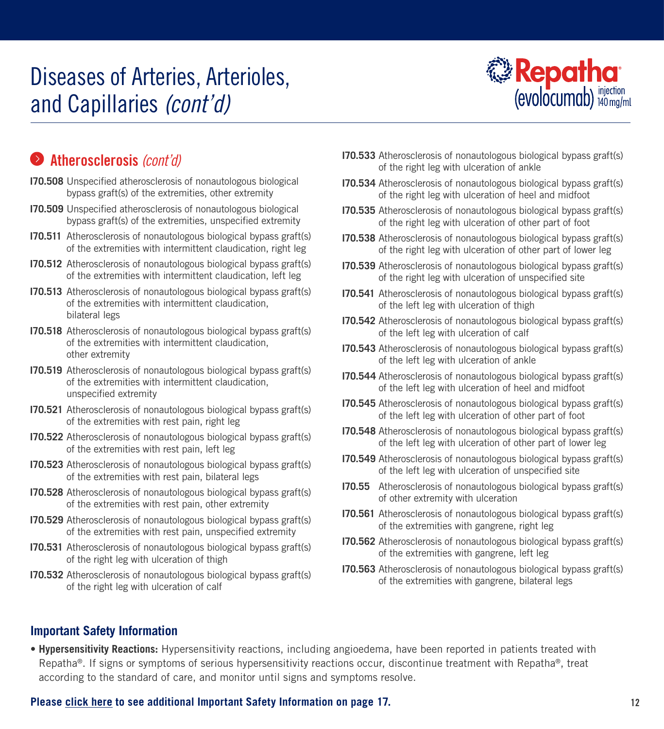

# Atherosclerosis *(cont'd)*

- **I70.508** Unspecified atherosclerosis of nonautologous biological bypass graft(s) of the extremities, other extremity
- **I70.509** Unspecified atherosclerosis of nonautologous biological bypass graft(s) of the extremities, unspecified extremity
- **I70.511** Atherosclerosis of nonautologous biological bypass graft(s) of the extremities with intermittent claudication, right leg
- **I70.512** Atherosclerosis of nonautologous biological bypass graft(s) of the extremities with intermittent claudication, left leg
- **I70.513** Atherosclerosis of nonautologous biological bypass graft(s) of the extremities with intermittent claudication, bilateral legs
- **I70.518** Atherosclerosis of nonautologous biological bypass graft(s) of the extremities with intermittent claudication, other extremity
- **I70.519** Atherosclerosis of nonautologous biological bypass graft(s) of the extremities with intermittent claudication, unspecified extremity
- **I70.521** Atherosclerosis of nonautologous biological bypass graft(s) of the extremities with rest pain, right leg
- **I70.522** Atherosclerosis of nonautologous biological bypass graft(s) of the extremities with rest pain, left leg
- **I70.523** Atherosclerosis of nonautologous biological bypass graft(s) of the extremities with rest pain, bilateral legs
- **I70.528** Atherosclerosis of nonautologous biological bypass graft(s) of the extremities with rest pain, other extremity
- **I70.529** Atherosclerosis of nonautologous biological bypass graft(s) of the extremities with rest pain, unspecified extremity
- **I70.531** Atherosclerosis of nonautologous biological bypass graft(s) of the right leg with ulceration of thigh
- **I70.532** Atherosclerosis of nonautologous biological bypass graft(s) of the right leg with ulceration of calf
- **I70.533** Atherosclerosis of nonautologous biological bypass graft(s) of the right leg with ulceration of ankle
- **I70.534** Atherosclerosis of nonautologous biological bypass graft(s) of the right leg with ulceration of heel and midfoot
- **I70.535** Atherosclerosis of nonautologous biological bypass graft(s) of the right leg with ulceration of other part of foot
- **I70.538** Atherosclerosis of nonautologous biological bypass graft(s) of the right leg with ulceration of other part of lower leg
- **I70.539** Atherosclerosis of nonautologous biological bypass graft(s) of the right leg with ulceration of unspecified site
- **I70.541** Atherosclerosis of nonautologous biological bypass graft(s) of the left leg with ulceration of thigh
- **I70.542** Atherosclerosis of nonautologous biological bypass graft(s) of the left leg with ulceration of calf
- **I70.543** Atherosclerosis of nonautologous biological bypass graft(s) of the left leg with ulceration of ankle
- **I70.544** Atherosclerosis of nonautologous biological bypass graft(s) of the left leg with ulceration of heel and midfoot
- **I70.545** Atherosclerosis of nonautologous biological bypass graft(s) of the left leg with ulceration of other part of foot
- **I70.548** Atherosclerosis of nonautologous biological bypass graft(s) of the left leg with ulceration of other part of lower leg
- **I70.549** Atherosclerosis of nonautologous biological bypass graft(s) of the left leg with ulceration of unspecified site
- **I70.55** Atherosclerosis of nonautologous biological bypass graft(s) of other extremity with ulceration
- **I70.561** Atherosclerosis of nonautologous biological bypass graft(s) of the extremities with gangrene, right leg
- **I70.562** Atherosclerosis of nonautologous biological bypass graft(s) of the extremities with gangrene, left leg
- **I70.563** Atherosclerosis of nonautologous biological bypass graft(s) of the extremities with gangrene, bilateral legs

#### **Important Safety Information**

• **Hypersensitivity Reactions:** Hypersensitivity reactions, including angioedema, have been reported in patients treated with Repatha®. If signs or symptoms of serious hypersensitivity reactions occur, discontinue treatment with Repatha®, treat according to the standard of care, and monitor until signs and symptoms resolve.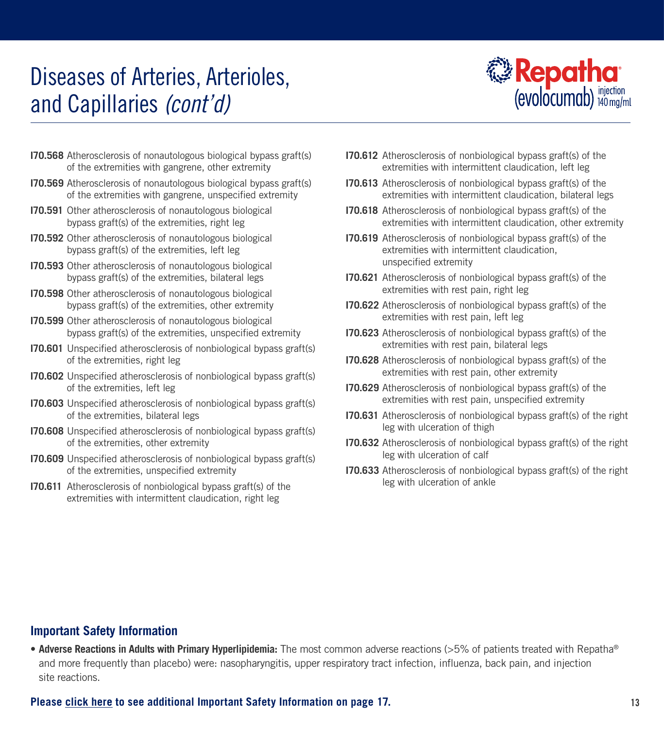

- **I70.568** Atherosclerosis of nonautologous biological bypass graft(s) of the extremities with gangrene, other extremity
- **I70.569** Atherosclerosis of nonautologous biological bypass graft(s) of the extremities with gangrene, unspecified extremity
- **I70.591** Other atherosclerosis of nonautologous biological bypass graft(s) of the extremities, right leg
- **I70.592** Other atherosclerosis of nonautologous biological bypass graft(s) of the extremities, left leg
- **I70.593** Other atherosclerosis of nonautologous biological bypass graft(s) of the extremities, bilateral legs
- **I70.598** Other atherosclerosis of nonautologous biological bypass graft(s) of the extremities, other extremity
- **I70.599** Other atherosclerosis of nonautologous biological bypass graft(s) of the extremities, unspecified extremity
- **I70.601** Unspecified atherosclerosis of nonbiological bypass graft(s) of the extremities, right leg
- **I70.602** Unspecified atherosclerosis of nonbiological bypass graft(s) of the extremities, left leg
- **I70.603** Unspecified atherosclerosis of nonbiological bypass graft(s) of the extremities, bilateral legs
- **I70.608** Unspecified atherosclerosis of nonbiological bypass graft(s) of the extremities, other extremity
- **I70.609** Unspecified atherosclerosis of nonbiological bypass graft(s) of the extremities, unspecified extremity
- **I70.611** Atherosclerosis of nonbiological bypass graft(s) of the extremities with intermittent claudication, right leg
- **I70.612** Atherosclerosis of nonbiological bypass graft(s) of the extremities with intermittent claudication, left leg
- **I70.613** Atherosclerosis of nonbiological bypass graft(s) of the extremities with intermittent claudication, bilateral legs
- **I70.618** Atherosclerosis of nonbiological bypass graft(s) of the extremities with intermittent claudication, other extremity
- **I70.619** Atherosclerosis of nonbiological bypass graft(s) of the extremities with intermittent claudication, unspecified extremity
- **I70.621** Atherosclerosis of nonbiological bypass graft(s) of the extremities with rest pain, right leg
- **I70.622** Atherosclerosis of nonbiological bypass graft(s) of the extremities with rest pain, left leg
- **I70.623** Atherosclerosis of nonbiological bypass graft(s) of the extremities with rest pain, bilateral legs
- **I70.628** Atherosclerosis of nonbiological bypass graft(s) of the extremities with rest pain, other extremity
- **I70.629** Atherosclerosis of nonbiological bypass graft(s) of the extremities with rest pain, unspecified extremity
- **I70.631** Atherosclerosis of nonbiological bypass graft(s) of the right leg with ulceration of thigh
- **I70.632** Atherosclerosis of nonbiological bypass graft(s) of the right leg with ulceration of calf
- **I70.633** Atherosclerosis of nonbiological bypass graft(s) of the right leg with ulceration of ankle

#### **Important Safety Information**

• **Adverse Reactions in Adults with Primary Hyperlipidemia:** The most common adverse reactions (>5% of patients treated with Repatha® and more frequently than placebo) were: nasopharyngitis, upper respiratory tract infection, influenza, back pain, and injection site reactions.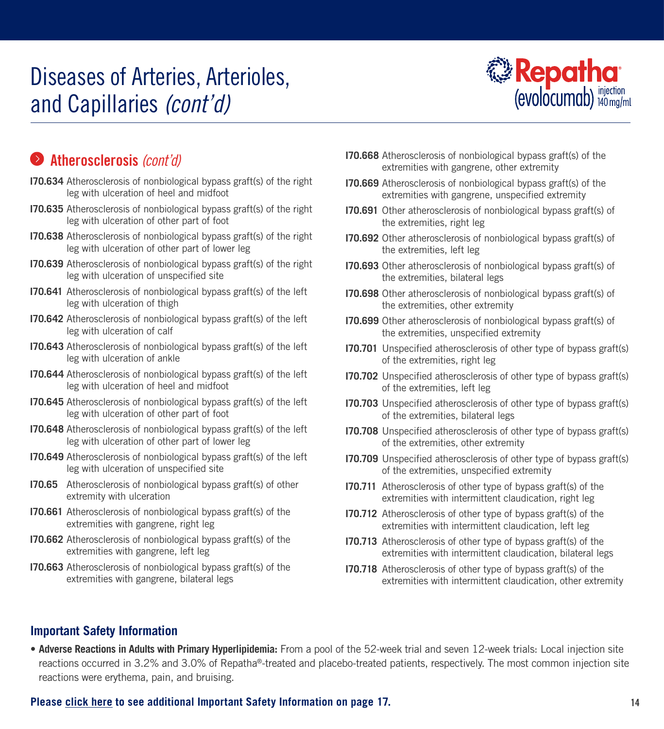

### Atherosclerosis *(cont'd)*

- **I70.634** Atherosclerosis of nonbiological bypass graft(s) of the right leg with ulceration of heel and midfoot
- **I70.635** Atherosclerosis of nonbiological bypass graft(s) of the right leg with ulceration of other part of foot
- **I70.638** Atherosclerosis of nonbiological bypass graft(s) of the right leg with ulceration of other part of lower leg
- **I70.639** Atherosclerosis of nonbiological bypass graft(s) of the right leg with ulceration of unspecified site
- **I70.641** Atherosclerosis of nonbiological bypass graft(s) of the left leg with ulceration of thigh
- **I70.642** Atherosclerosis of nonbiological bypass graft(s) of the left leg with ulceration of calf
- **I70.643** Atherosclerosis of nonbiological bypass graft(s) of the left leg with ulceration of ankle
- **I70.644** Atherosclerosis of nonbiological bypass graft(s) of the left leg with ulceration of heel and midfoot
- **I70.645** Atherosclerosis of nonbiological bypass graft(s) of the left leg with ulceration of other part of foot
- **I70.648** Atherosclerosis of nonbiological bypass graft(s) of the left leg with ulceration of other part of lower leg
- **I70.649** Atherosclerosis of nonbiological bypass graft(s) of the left leg with ulceration of unspecified site
- **I70.65** Atherosclerosis of nonbiological bypass graft(s) of other extremity with ulceration
- **I70.661** Atherosclerosis of nonbiological bypass graft(s) of the extremities with gangrene, right leg
- **I70.662** Atherosclerosis of nonbiological bypass graft(s) of the extremities with gangrene, left leg
- **I70.663** Atherosclerosis of nonbiological bypass graft(s) of the extremities with gangrene, bilateral legs
- **I70.668** Atherosclerosis of nonbiological bypass graft(s) of the extremities with gangrene, other extremity
- **I70.669** Atherosclerosis of nonbiological bypass graft(s) of the extremities with gangrene, unspecified extremity
- **I70.691** Other atherosclerosis of nonbiological bypass graft(s) of the extremities, right leg
- **I70.692** Other atherosclerosis of nonbiological bypass graft(s) of the extremities, left leg
- **I70.693** Other atherosclerosis of nonbiological bypass graft(s) of the extremities, bilateral legs
- **I70.698** Other atherosclerosis of nonbiological bypass graft(s) of the extremities, other extremity
- **I70.699** Other atherosclerosis of nonbiological bypass graft(s) of the extremities, unspecified extremity
- **I70.701** Unspecified atherosclerosis of other type of bypass graft(s) of the extremities, right leg
- **I70.702** Unspecified atherosclerosis of other type of bypass graft(s) of the extremities, left leg
- **I70.703** Unspecified atherosclerosis of other type of bypass graft(s) of the extremities, bilateral legs
- **I70.708** Unspecified atherosclerosis of other type of bypass graft(s) of the extremities, other extremity
- **I70.709** Unspecified atherosclerosis of other type of bypass graft(s) of the extremities, unspecified extremity
- **I70.711** Atherosclerosis of other type of bypass graft(s) of the extremities with intermittent claudication, right leg
- **I70.712** Atherosclerosis of other type of bypass graft(s) of the extremities with intermittent claudication, left leg
- **I70.713** Atherosclerosis of other type of bypass graft(s) of the extremities with intermittent claudication, bilateral legs
- **I70.718** Atherosclerosis of other type of bypass graft(s) of the extremities with intermittent claudication, other extremity

#### **Important Safety Information**

• **Adverse Reactions in Adults with Primary Hyperlipidemia:** From a pool of the 52-week trial and seven 12-week trials: Local injection site reactions occurred in 3.2% and 3.0% of Repatha®-treated and placebo-treated patients, respectively. The most common injection site reactions were erythema, pain, and bruising.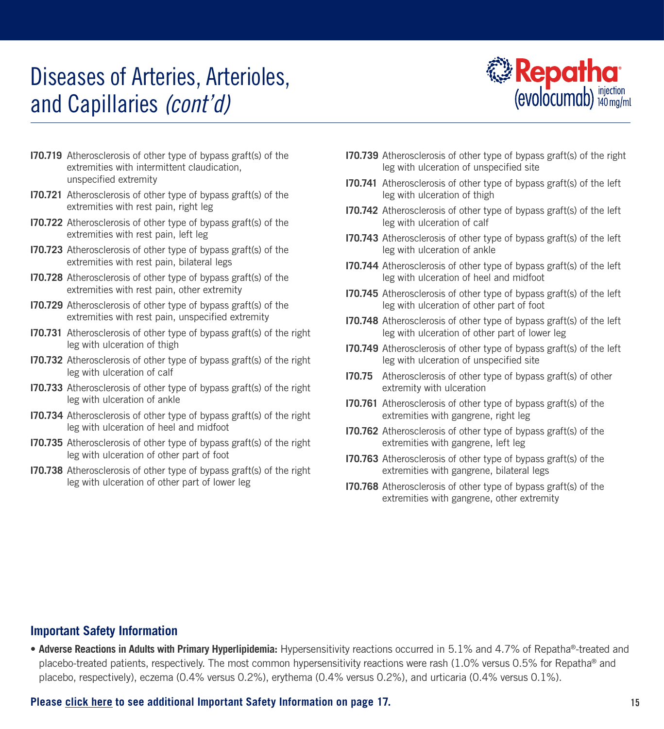

- **I70.719** Atherosclerosis of other type of bypass graft(s) of the extremities with intermittent claudication, unspecified extremity
- **I70.721** Atherosclerosis of other type of bypass graft(s) of the extremities with rest pain, right leg
- **I70.722** Atherosclerosis of other type of bypass graft(s) of the extremities with rest pain, left leg
- **I70.723** Atherosclerosis of other type of bypass graft(s) of the extremities with rest pain, bilateral legs
- **I70.728** Atherosclerosis of other type of bypass graft(s) of the extremities with rest pain, other extremity
- **I70.729** Atherosclerosis of other type of bypass graft(s) of the extremities with rest pain, unspecified extremity
- **I70.731** Atherosclerosis of other type of bypass graft(s) of the right leg with ulceration of thigh
- **I70.732** Atherosclerosis of other type of bypass graft(s) of the right leg with ulceration of calf
- **I70.733** Atherosclerosis of other type of bypass graft(s) of the right leg with ulceration of ankle
- **I70.734** Atherosclerosis of other type of bypass graft(s) of the right leg with ulceration of heel and midfoot
- **I70.735** Atherosclerosis of other type of bypass graft(s) of the right leg with ulceration of other part of foot
- **I70.738** Atherosclerosis of other type of bypass graft(s) of the right leg with ulceration of other part of lower leg
- **I70.739** Atherosclerosis of other type of bypass graft(s) of the right leg with ulceration of unspecified site
- **I70.741** Atherosclerosis of other type of bypass graft(s) of the left leg with ulceration of thigh
- **I70.742** Atherosclerosis of other type of bypass graft(s) of the left leg with ulceration of calf
- **I70.743** Atherosclerosis of other type of bypass graft(s) of the left leg with ulceration of ankle
- **I70.744** Atherosclerosis of other type of bypass graft(s) of the left leg with ulceration of heel and midfoot
- **I70.745** Atherosclerosis of other type of bypass graft(s) of the left leg with ulceration of other part of foot
- **I70.748** Atherosclerosis of other type of bypass graft(s) of the left leg with ulceration of other part of lower leg
- **I70.749** Atherosclerosis of other type of bypass graft(s) of the left leg with ulceration of unspecified site
- **I70.75** Atherosclerosis of other type of bypass graft(s) of other extremity with ulceration
- **I70.761** Atherosclerosis of other type of bypass graft(s) of the extremities with gangrene, right leg
- **I70.762** Atherosclerosis of other type of bypass graft(s) of the extremities with gangrene, left leg
- **I70.763** Atherosclerosis of other type of bypass graft(s) of the extremities with gangrene, bilateral legs
- **I70.768** Atherosclerosis of other type of bypass graft(s) of the extremities with gangrene, other extremity

#### **Important Safety Information**

• **Adverse Reactions in Adults with Primary Hyperlipidemia:** Hypersensitivity reactions occurred in 5.1% and 4.7% of Repatha®-treated and placebo-treated patients, respectively. The most common hypersensitivity reactions were rash (1.0% versus 0.5% for Repatha® and placebo, respectively), eczema (0.4% versus 0.2%), erythema (0.4% versus 0.2%), and urticaria (0.4% versus 0.1%).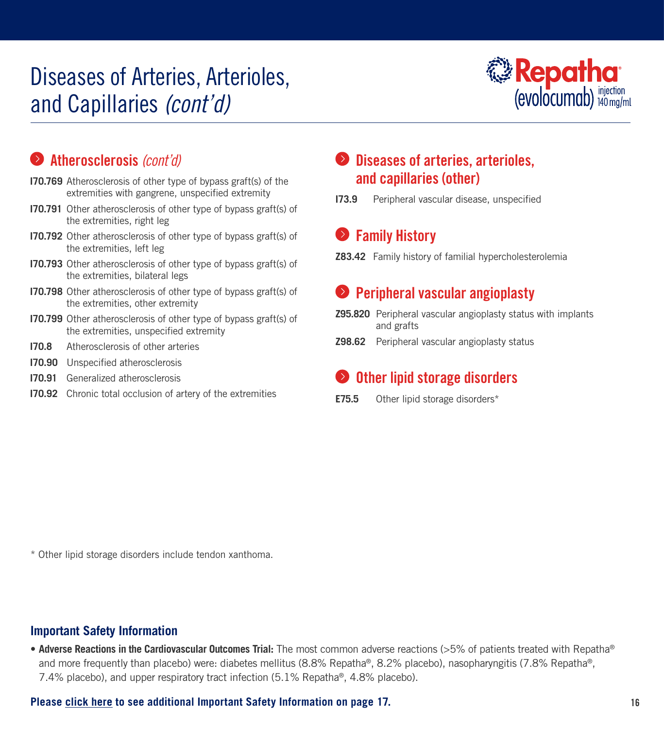

### Atherosclerosis *(cont'd)*

- **I70.769** Atherosclerosis of other type of bypass graft(s) of the extremities with gangrene, unspecified extremity
- **I70.791** Other atherosclerosis of other type of bypass graft(s) of the extremities, right leg
- **I70.792** Other atherosclerosis of other type of bypass graft(s) of the extremities, left leg
- **I70.793** Other atherosclerosis of other type of bypass graft(s) of the extremities, bilateral legs
- **I70.798** Other atherosclerosis of other type of bypass graft(s) of the extremities, other extremity
- **I70.799** Other atherosclerosis of other type of bypass graft(s) of the extremities, unspecified extremity
- **I70.8** Atherosclerosis of other arteries
- **I70.90** Unspecified atherosclerosis
- **I70.91** Generalized atherosclerosis
- **I70.92** Chronic total occlusion of artery of the extremities

### **Diseases of arteries, arterioles,** and capillaries (other)

**I73.9** Peripheral vascular disease, unspecified

# **S** Family History

**Z83.42** Family history of familial hypercholesterolemia

# **Peripheral vascular angioplasty**

- **Z95.820** Peripheral vascular angioplasty status with implants and grafts
- **Z98.62** Peripheral vascular angioplasty status

### **O** Other lipid storage disorders

**E75.5** Other lipid storage disorders\*

\* Other lipid storage disorders include tendon xanthoma.

#### **Important Safety Information**

• **Adverse Reactions in the Cardiovascular Outcomes Trial:** The most common adverse reactions (>5% of patients treated with Repatha® and more frequently than placebo) were: diabetes mellitus (8.8% Repatha®, 8.2% placebo), nasopharyngitis (7.8% Repatha®, 7.4% placebo), and upper respiratory tract infection (5.1% Repatha®, 4.8% placebo).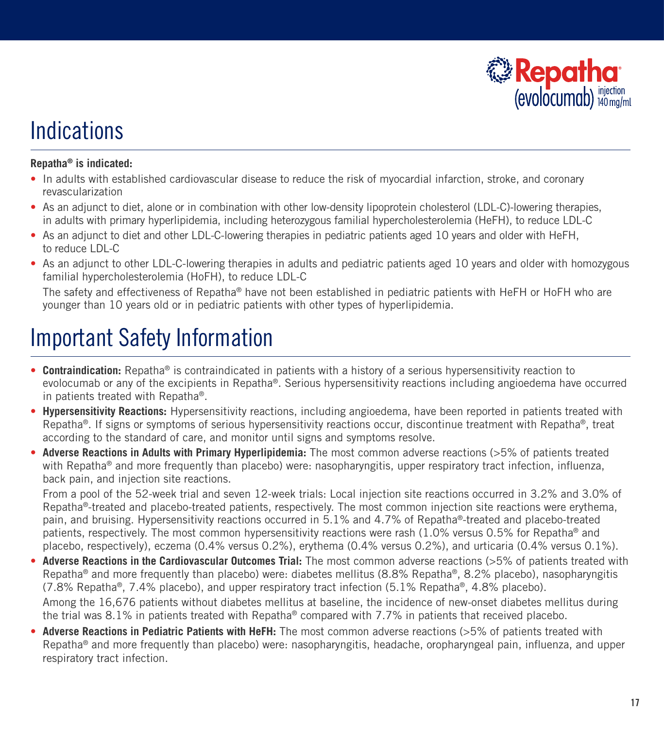

# <span id="page-16-0"></span>**Indications**

#### **Repatha® is indicated:**

- In adults with established cardiovascular disease to reduce the risk of myocardial infarction, stroke, and coronary revascularization
- As an adjunct to diet, alone or in combination with other low-density lipoprotein cholesterol (LDL-C)-lowering therapies, in adults with primary hyperlipidemia, including heterozygous familial hypercholesterolemia (HeFH), to reduce LDL-C
- As an adjunct to diet and other LDL-C-lowering therapies in pediatric patients aged 10 years and older with HeFH, to reduce LDL-C
- As an adjunct to other LDL-C-lowering therapies in adults and pediatric patients aged 10 years and older with homozygous familial hypercholesterolemia (HoFH), to reduce LDL-C

The safety and effectiveness of Repatha<sup>®</sup> have not been established in pediatric patients with HeFH or HoFH who are younger than 10 years old or in pediatric patients with other types of hyperlipidemia.

# Important Safety Information

- **Contraindication:** Repatha® is contraindicated in patients with a history of a serious hypersensitivity reaction to evolocumab or any of the excipients in Repatha®. Serious hypersensitivity reactions including angioedema have occurred in patients treated with Repatha®.
- **Hypersensitivity Reactions:** Hypersensitivity reactions, including angioedema, have been reported in patients treated with Repatha®. If signs or symptoms of serious hypersensitivity reactions occur, discontinue treatment with Repatha®, treat according to the standard of care, and monitor until signs and symptoms resolve.
- **Adverse Reactions in Adults with Primary Hyperlipidemia:** The most common adverse reactions (>5% of patients treated with Repatha<sup>®</sup> and more frequently than placebo) were: nasopharyngitis, upper respiratory tract infection, influenza, back pain, and injection site reactions.

From a pool of the 52-week trial and seven 12-week trials: Local injection site reactions occurred in 3.2% and 3.0% of Repatha®-treated and placebo-treated patients, respectively. The most common injection site reactions were erythema, pain, and bruising. Hypersensitivity reactions occurred in 5.1% and 4.7% of Repatha®-treated and placebo-treated patients, respectively. The most common hypersensitivity reactions were rash (1.0% versus 0.5% for Repatha® and placebo, respectively), eczema (0.4% versus 0.2%), erythema (0.4% versus 0.2%), and urticaria (0.4% versus 0.1%).

• **Adverse Reactions in the Cardiovascular Outcomes Trial:** The most common adverse reactions (>5% of patients treated with Repatha® and more frequently than placebo) were: diabetes mellitus (8.8% Repatha®, 8.2% placebo), nasopharyngitis (7.8% Repatha®, 7.4% placebo), and upper respiratory tract infection (5.1% Repatha®, 4.8% placebo).

Among the 16,676 patients without diabetes mellitus at baseline, the incidence of new-onset diabetes mellitus during the trial was 8.1% in patients treated with Repatha® compared with 7.7% in patients that received placebo.

• **Adverse Reactions in Pediatric Patients with HeFH:** The most common adverse reactions (>5% of patients treated with Repatha® and more frequently than placebo) were: nasopharyngitis, headache, oropharyngeal pain, influenza, and upper respiratory tract infection.